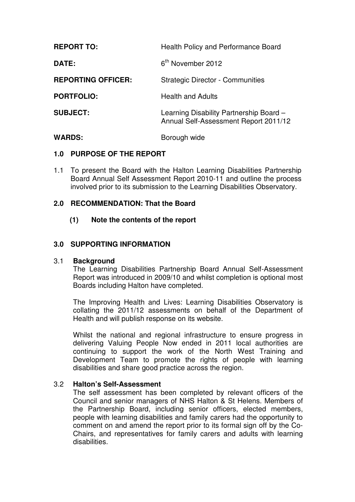| <b>REPORT TO:</b>         | <b>Health Policy and Performance Board</b>                                       |  |
|---------------------------|----------------------------------------------------------------------------------|--|
| DATE:                     | 6 <sup>th</sup> November 2012                                                    |  |
| <b>REPORTING OFFICER:</b> | <b>Strategic Director - Communities</b>                                          |  |
| <b>PORTFOLIO:</b>         | <b>Health and Adults</b>                                                         |  |
| <b>SUBJECT:</b>           | Learning Disability Partnership Board -<br>Annual Self-Assessment Report 2011/12 |  |
| <b>WARDS:</b>             | Borough wide                                                                     |  |

### **1.0 PURPOSE OF THE REPORT**

1.1 To present the Board with the Halton Learning Disabilities Partnership Board Annual Self Assessment Report 2010-11 and outline the process involved prior to its submission to the Learning Disabilities Observatory.

## **2.0 RECOMMENDATION: That the Board**

**(1) Note the contents of the report** 

## **3.0 SUPPORTING INFORMATION**

### 3.1 **Background**

 The Learning Disabilities Partnership Board Annual Self-Assessment Report was introduced in 2009/10 and whilst completion is optional most Boards including Halton have completed.

The Improving Health and Lives: Learning Disabilities Observatory is collating the 2011/12 assessments on behalf of the Department of Health and will publish response on its website.

 Whilst the national and regional infrastructure to ensure progress in delivering Valuing People Now ended in 2011 local authorities are continuing to support the work of the North West Training and Development Team to promote the rights of people with learning disabilities and share good practice across the region.

### 3.2 **Halton's Self-Assessment**

 The self assessment has been completed by relevant officers of the Council and senior managers of NHS Halton & St Helens. Members of the Partnership Board, including senior officers, elected members, people with learning disabilities and family carers had the opportunity to comment on and amend the report prior to its formal sign off by the Co-Chairs, and representatives for family carers and adults with learning disabilities.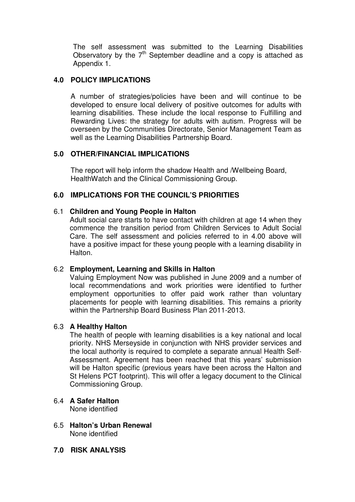The self assessment was submitted to the Learning Disabilities Observatory by the  $7<sup>th</sup>$  September deadline and a copy is attached as Appendix 1.

## **4.0 POLICY IMPLICATIONS**

A number of strategies/policies have been and will continue to be developed to ensure local delivery of positive outcomes for adults with learning disabilities. These include the local response to Fulfilling and Rewarding Lives: the strategy for adults with autism. Progress will be overseen by the Communities Directorate, Senior Management Team as well as the Learning Disabilities Partnership Board.

## **5.0 OTHER/FINANCIAL IMPLICATIONS**

The report will help inform the shadow Health and /Wellbeing Board, HealthWatch and the Clinical Commissioning Group.

# **6.0 IMPLICATIONS FOR THE COUNCIL'S PRIORITIES**

### 6.1 **Children and Young People in Halton**

Adult social care starts to have contact with children at age 14 when they commence the transition period from Children Services to Adult Social Care. The self assessment and policies referred to in 4.00 above will have a positive impact for these young people with a learning disability in Halton.

### 6.2 **Employment, Learning and Skills in Halton**

Valuing Employment Now was published in June 2009 and a number of local recommendations and work priorities were identified to further employment opportunities to offer paid work rather than voluntary placements for people with learning disabilities. This remains a priority within the Partnership Board Business Plan 2011-2013.

### 6.3 **A Healthy Halton**

The health of people with learning disabilities is a key national and local priority. NHS Merseyside in conjunction with NHS provider services and the local authority is required to complete a separate annual Health Self-Assessment. Agreement has been reached that this years' submission will be Halton specific (previous years have been across the Halton and St Helens PCT footprint). This will offer a legacy document to the Clinical Commissioning Group.

- 6.4 **A Safer Halton** None identified
- 6.5 **Halton's Urban Renewal**  None identified
- **7.0 RISK ANALYSIS**